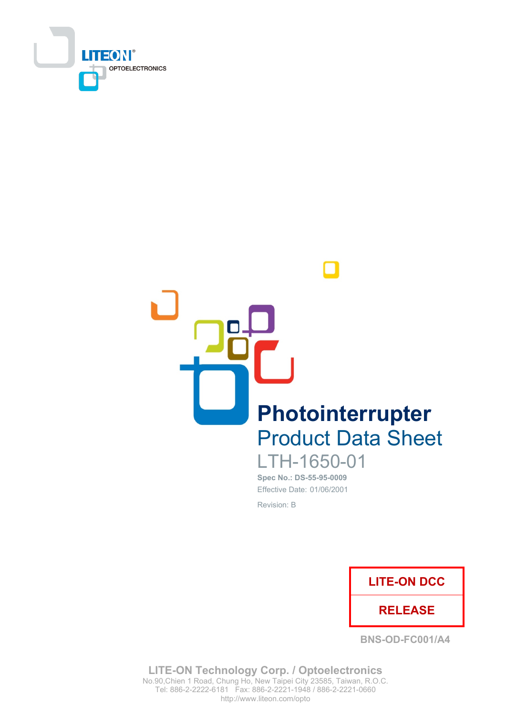



Spec No.: DS-55-95-0009 Effective Date: 01/06/2001

Revision: B



**BNS-OD-FC001/A4** 

**LITE-ON Technology Corp. / Optoelectronics** No.90, Chien 1 Road, Chung Ho, New Taipei City 23585, Taiwan, R.O.C. Tel: 886-2-2222-6181 Fax: 886-2-2221-1948 / 886-2-2221-0660 http://www.liteon.com/opto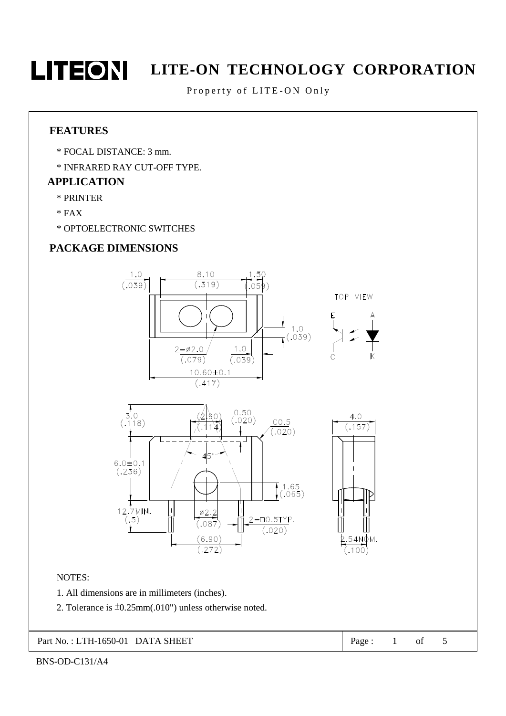

Property of LITE-ON Only

### **FEATURES**

- \* FOCAL DISTANCE: 3 mm.
- \* INFRARED RAY CUT-OFF TYPE.

### **APPLICATION**

- \* PRINTER
- $*$  FAX
- \* OPTOELECTRONIC SWITCHES

### **PACKAGE DIMENSIONS**



Part No.: LTH-1650-01 DATA SHEET

Page:  $\mathbf{1}$ of

 $\mathfrak{S}$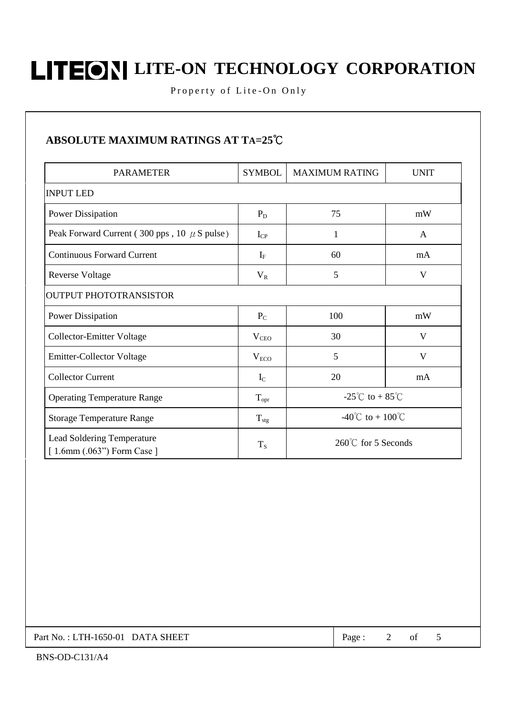Property of Lite-On Only

## ABSOLUTE MAXIMUM RATINGS AT TA=25°C

| <b>PARAMETER</b>                                                  | <b>SYMBOL</b>    | <b>MAXIMUM RATING</b>                     | <b>UNIT</b> |  |  |  |  |  |  |
|-------------------------------------------------------------------|------------------|-------------------------------------------|-------------|--|--|--|--|--|--|
| <b>INPUT LED</b>                                                  |                  |                                           |             |  |  |  |  |  |  |
| <b>Power Dissipation</b>                                          | $P_D$            | 75                                        | mW          |  |  |  |  |  |  |
| Peak Forward Current (300 pps, 10 $\mu$ S pulse)                  | $I_{CP}$         | 1                                         | A           |  |  |  |  |  |  |
| <b>Continuous Forward Current</b>                                 | $I_F$            | 60                                        | mA          |  |  |  |  |  |  |
| Reverse Voltage                                                   | $V_{R}$          | 5                                         | V           |  |  |  |  |  |  |
| <b>OUTPUT PHOTOTRANSISTOR</b>                                     |                  |                                           |             |  |  |  |  |  |  |
| <b>Power Dissipation</b>                                          | $P_{C}$          | 100                                       | mW          |  |  |  |  |  |  |
| <b>Collector-Emitter Voltage</b>                                  | $V_{CEO}$        | 30                                        | V           |  |  |  |  |  |  |
| <b>Emitter-Collector Voltage</b>                                  | $V_{ECO}$        | 5                                         | V           |  |  |  |  |  |  |
| <b>Collector Current</b>                                          | $I_{\rm C}$      | 20                                        | mA          |  |  |  |  |  |  |
| <b>Operating Temperature Range</b>                                | $T_{\rm{opr}}$   | -25 <sup>°</sup> C to + 85 <sup>°</sup> C |             |  |  |  |  |  |  |
| <b>Storage Temperature Range</b>                                  | $T_{\text{stg}}$ | -40°C to + 100°C                          |             |  |  |  |  |  |  |
| <b>Lead Soldering Temperature</b><br>$[1.6mm (.063")$ Form Case ] | $T_S$            | 260°℃ for 5 Seconds                       |             |  |  |  |  |  |  |

Part No.: LTH-1650-01 DATA SHEET

 $\overline{2}$ of Page:

5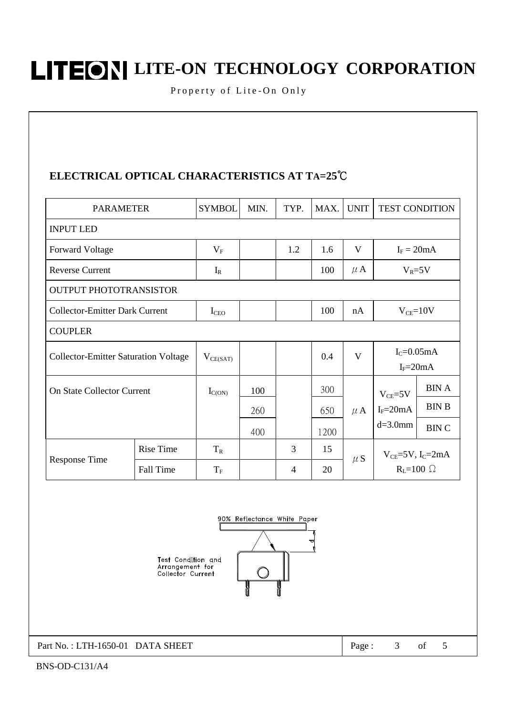Property of Lite-On Only

### ELECTRICAL OPTICAL CHARACTERISTICS AT TA=25°C

| <b>PARAMETER</b>                            |                                       | <b>SYMBOL</b> | MIN. | TYP.           | MAX. | <b>UNIT</b>  | <b>TEST CONDITION</b>                                            |              |  |  |
|---------------------------------------------|---------------------------------------|---------------|------|----------------|------|--------------|------------------------------------------------------------------|--------------|--|--|
| <b>INPUT LED</b>                            |                                       |               |      |                |      |              |                                                                  |              |  |  |
| <b>Forward Voltage</b>                      |                                       | $V_{\rm F}$   |      | 1.2            | 1.6  | V            | $I_F = 20mA$                                                     |              |  |  |
| <b>Reverse Current</b>                      |                                       | $I_R$         |      |                | 100  | $\mu$ A      | $V_R = 5V$                                                       |              |  |  |
| <b>OUTPUT PHOTOTRANSISTOR</b>               |                                       |               |      |                |      |              |                                                                  |              |  |  |
|                                             | <b>Collector-Emitter Dark Current</b> |               |      |                | 100  | nA           | $V_{CE}=10V$                                                     |              |  |  |
| <b>COUPLER</b>                              |                                       |               |      |                |      |              |                                                                  |              |  |  |
| <b>Collector-Emitter Saturation Voltage</b> |                                       | $V_{CE(SAT)}$ |      |                | 0.4  | $\mathbf{V}$ | $I_{C} = 0.05$ mA<br>$I_F = 20mA$                                |              |  |  |
| <b>On State Collector Current</b>           |                                       | $I_{C(ON)}$   | 100  |                | 300  | $\mu$ A      | $V_{CE} = 5V$                                                    | <b>BINA</b>  |  |  |
|                                             |                                       |               | 260  |                | 650  |              | $I_F = 20mA$                                                     | <b>BIN B</b> |  |  |
|                                             |                                       |               | 400  |                | 1200 |              | $d=3.0$ mm                                                       | <b>BINC</b>  |  |  |
| <b>Response Time</b>                        | <b>Rise Time</b>                      | $T_R$         |      | 3              | 15   | $\mu S$      | $V_{CE}$ =5V, I <sub>C</sub> =2mA<br>$R_{\text{I}} = 100 \Omega$ |              |  |  |
|                                             | Fall Time                             | $T_F$         |      | $\overline{4}$ | 20   |              |                                                                  |              |  |  |



Part No.: LTH-1650-01 DATA SHEET

 $3<sup>7</sup>$  $% \left( \left( \mathcal{A},\mathcal{A}\right) \right) =\left( \mathcal{A},\mathcal{A}\right)$  of Page:

 $5\,$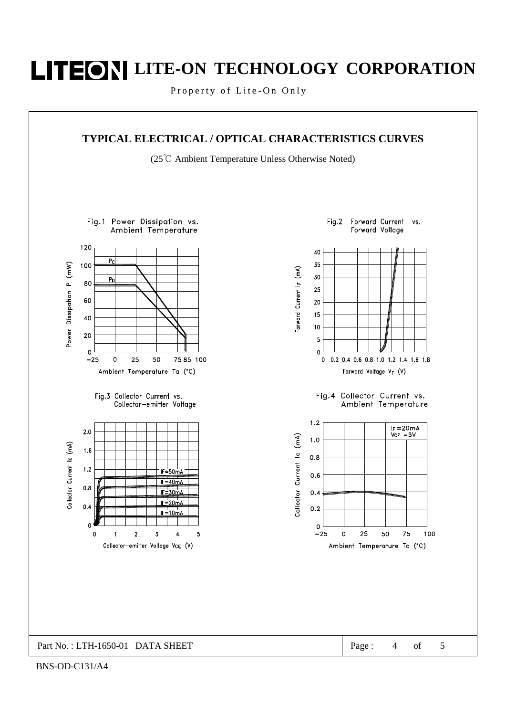Property of Lite-On Only